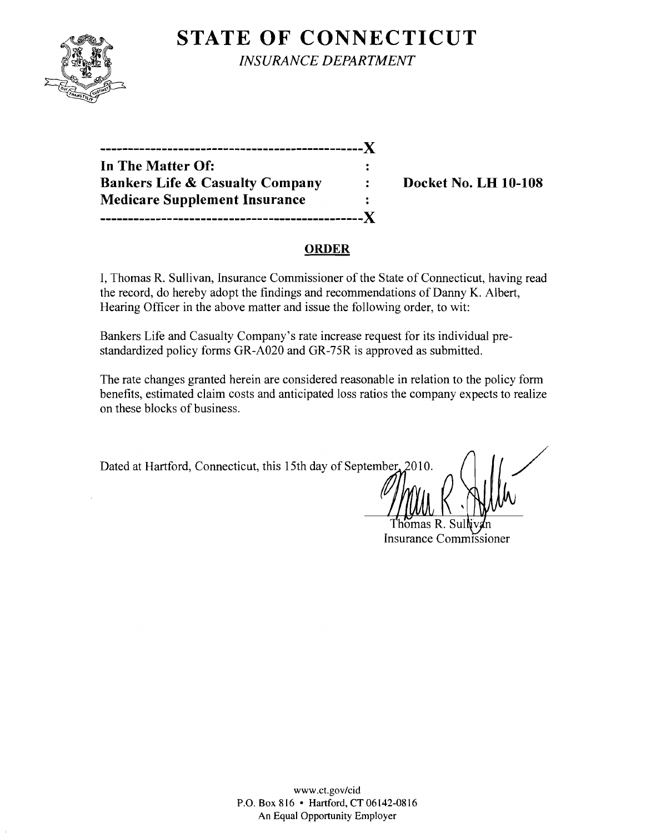

**STATE OF CONNECTICUT** *INSURANCE DEPARTMENT* 

| -------------                              |  |
|--------------------------------------------|--|
| In The Matter Of:                          |  |
| <b>Bankers Life &amp; Casualty Company</b> |  |
| <b>Medicare Supplement Insurance</b>       |  |
|                                            |  |

**Bocket No. LH 10-108** 

### **ORDER**

I, Thomas R. Sullivan, Insurance Commissioner of the State of Connecticut, having read the record, do hereby adopt the findings and recommendations of Danny K. Albert, Hearing Officer in the above matter and issue the following order, to wit:

Bankers Life and Casualty Company's rate increase request for its individual prestandardized policy forms GR-A020 and GR-75R is approved as submitted.

The rate changes granted herein are considered reasonable in relation to the policy form benefits, estimated claim costs and anticipated loss ratios the company expects to realize on these blocks of business.

Dated at Hartford, Connecticut, this 15th day of September, 2010.

Insurance Commissioner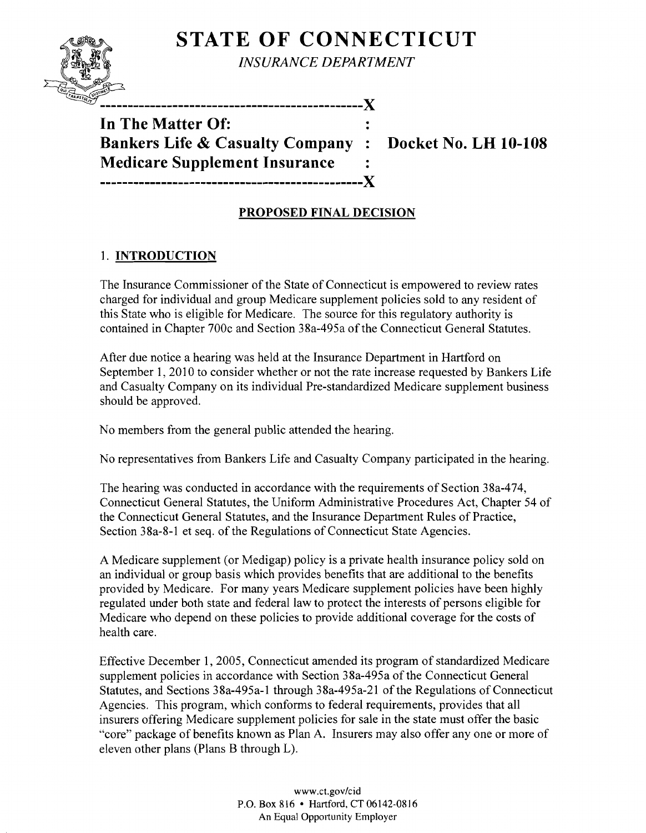# **STATE OF CONNECTICUT**



*INSURANCE DEPARTMENT* 

----------------------X

**In The Matter Of: Bankers Life & Casualty Company : Docket No. LH 10-108 Medicare Supplement Insurance -----------------------------------------------X** 

## **PROPOSED FINAL DECISION**

### 1. **INTRODUCTION**

The Insurance Commissioner of the State of Connecticut is empowered to review rates charged for individual and group Medicare supplement policies sold to any resident of this State who is eligible for Medicare. The source for this regulatory authority is contained in Chapter 700c and Section 38a-495a of the Connecticut General Statutes.

After due notice a hearing was held at the Insurance Department in Hartford on September 1, 2010 to consider whether or not the rate increase requested by Bankers Life and Casualty Company on its individual Pre-standardized Medicare supplement business should be approved.

No members from the general public attended the hearing.

No representatives from Bankers Life and Casualty Company participated in the hearing.

The hearing was conducted in accordance with the requirements of Section 38a-474, Connecticut General Statutes, the Uniform Administrative Procedures Act, Chapter 54 of the Connecticut General Statutes, and the Insurance Department Rules of Practice, Section 38a-8-1 et seq. of the Regulations of Connecticut State Agencies.

A Medicare supplement (or Medigap) policy is a private health insurance policy sold on an individual or group basis which provides benefits that are additional to the benefits provided by Medicare. For many years Medicare supplement policies have been highly regulated under both state and federal law to protect the interests of persons eligible for Medicare who depend on these policies to provide additional coverage for the costs of health care.

Effective December 1, 2005, Connecticut amended its program of standardized Medicare supplement policies in accordance with Section 38a-495a of the Connecticut General Statutes, and Sections 38a-495a-1 through 38a-495a-21 of the Regulations of Connecticut Agencies. This program, which conforms to federal requirements, provides that all insurers offering Medicare supplement policies for sale in the state must offer the basic "core" package of benefits known as Plan A. Insurers may also offer anyone or more of eleven other plans (Plans B through L).

> www.ct.gov/cid P.O. Box 816 • Hartford, CT 06142-0816 An Equal Opportunity Employer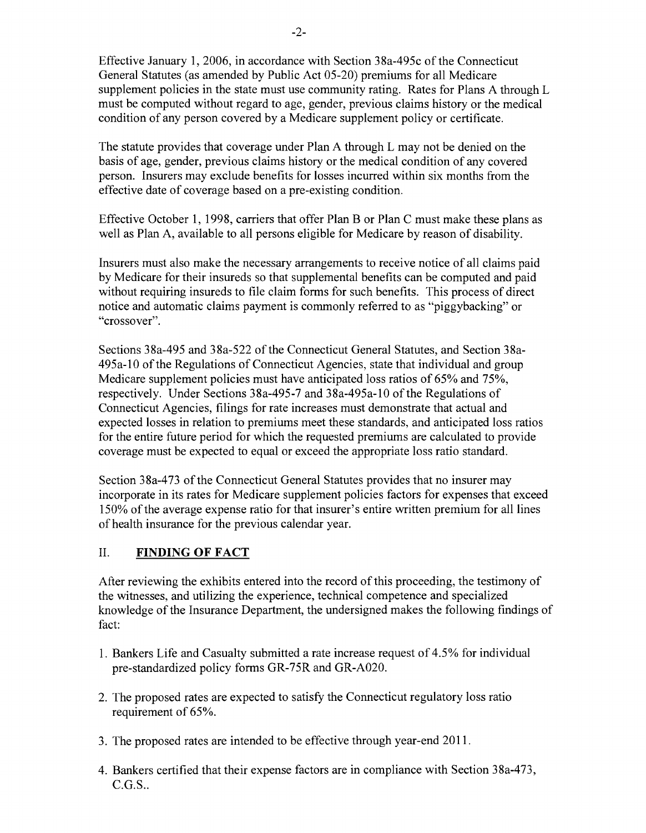Effective January 1,2006, in accordance with Section 38a-495c of the Connecticut General Statutes (as amended by Public Act 05-20) premiums for all Medicare supplement policies in the state must use community rating. Rates for Plans A through L must be computed without regard to age, gender, previous claims history or the medical condition of any person covered by a Medicare supplement policy or certificate.

The statute provides that coverage under Plan A through L may not be denied on the basis of age, gender, previous claims history or the medical condition of any covered person. Insurers may exclude benefits for losses incurred within six months from the effective date of coverage based on a pre-existing condition.

Effective October 1, 1998, carriers that offer Plan B or Plan C must make these plans as well as Plan A, available to all persons eligible for Medicare by reason of disability.

Insurers must also make the necessary arrangements to receive notice of all claims paid by Medicare for their insureds so that supplemental benefits can be computed and paid without requiring insureds to file claim forms for such benefits. This process of direct notice and automatic claims payment is commonly referred to as "piggybacking" or "crossover".

Sections 38a-495 and 38a-522 of the Connecticut General Statutes, and Section 38a-495a-10 ofthe Regulations of Connecticut Agencies, state that individual and group Medicare supplement policies must have anticipated loss ratios of 65% and 75%, respectively. Under Sections 38a-495-7 and 38a-495a-10 of the Regulations of Connecticut Agencies, filings for rate increases must demonstrate that actual and expected losses in relation to premiums meet these standards, and anticipated loss ratios for the entire future period for which the requested premiums are calculated to provide coverage must be expected to equal or exceed the appropriate loss ratio standard.

Section 38a-473 of the Connecticut General Statutes provides that no insurer may incorporate in its rates for Medicare supplement policies factors for expenses that exceed 150% ofthe average expense ratio for that insurer's entire written premium for all lines of health insurance for the previous calendar year.

### II. **FINDING OF FACT**

After reviewing the exhibits entered into the record of this proceeding, the testimony of the witnesses, and utilizing the experience, technical competence and specialized knowledge of the Insurance Department, the undersigned makes the following findings of fact:

- 1. Bankers Life and Casualty submitted a rate increase request of 4.5% for individual pre-standardized policy forms GR-75R and GR-A020.
- 2. The proposed rates are expected to satisfy the Connecticut regulatory loss ratio requirement of 65%.
- 3. The proposed rates are intended to be effective through year-end 2011.
- 4. Bankers certified that their expense factors are in compliance with Section 38a-473, C.G.S..